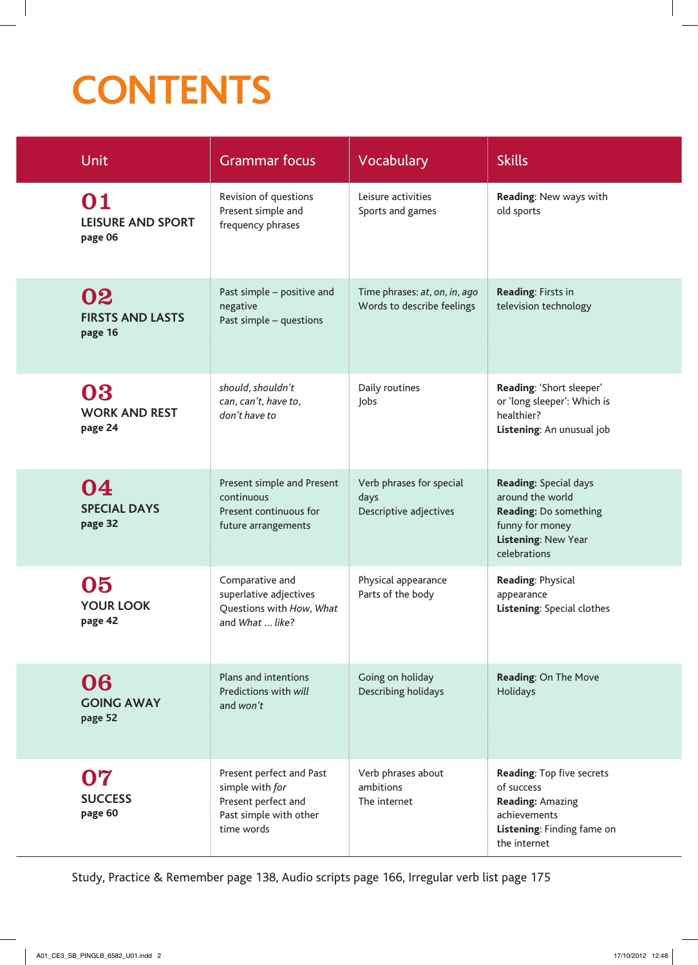## **CONTENTS**

| <b>Unit</b>                               | <b>Grammar focus</b>                                                                                       | Vocabulary                                                  | <b>Skills</b>                                                                                                                       |
|-------------------------------------------|------------------------------------------------------------------------------------------------------------|-------------------------------------------------------------|-------------------------------------------------------------------------------------------------------------------------------------|
| 01<br><b>LEISURE AND SPORT</b><br>page 06 | Revision of questions<br>Present simple and<br>frequency phrases                                           | Leisure activities<br>Sports and games                      | Reading: New ways with<br>old sports                                                                                                |
| 02<br><b>FIRSTS AND LASTS</b><br>page 16  | Past simple - positive and<br>negative<br>Past simple - questions                                          | Time phrases: at, on, in, ago<br>Words to describe feelings | Reading: Firsts in<br>television technology                                                                                         |
| 03<br><b>WORK AND REST</b><br>page 24     | should, shouldn't<br>can, can't, have to,<br>don't have to                                                 | Daily routines<br>Jobs                                      | Reading: 'Short sleeper'<br>or 'long sleeper': Which is<br>healthier?<br>Listening: An unusual job                                  |
| 04<br><b>SPECIAL DAYS</b><br>page 32      | Present simple and Present<br>continuous<br>Present continuous for<br>future arrangements                  | Verb phrases for special<br>days<br>Descriptive adjectives  | <b>Reading: Special days</b><br>around the world<br>Reading: Do something<br>funny for money<br>Listening: New Year<br>celebrations |
| 05<br><b>YOUR LOOK</b><br>page 42         | Comparative and<br>superlative adjectives<br>Questions with How, What<br>and What  like?                   | Physical appearance<br>Parts of the body                    | Reading: Physical<br>appearance<br>Listening: Special clothes                                                                       |
| 06<br><b>GOING AWAY</b><br>page 52        | Plans and intentions<br>Predictions with will<br>and won't                                                 | Going on holiday<br>Describing holidays                     | Reading: On The Move<br>Holidays                                                                                                    |
| 07<br><b>SUCCESS</b><br>page 60           | Present perfect and Past<br>simple with for<br>Present perfect and<br>Past simple with other<br>time words | Verb phrases about<br>ambitions<br>The internet             | Reading: Top five secrets<br>of success<br><b>Reading: Amazing</b><br>achievements<br>Listening: Finding fame on<br>the internet    |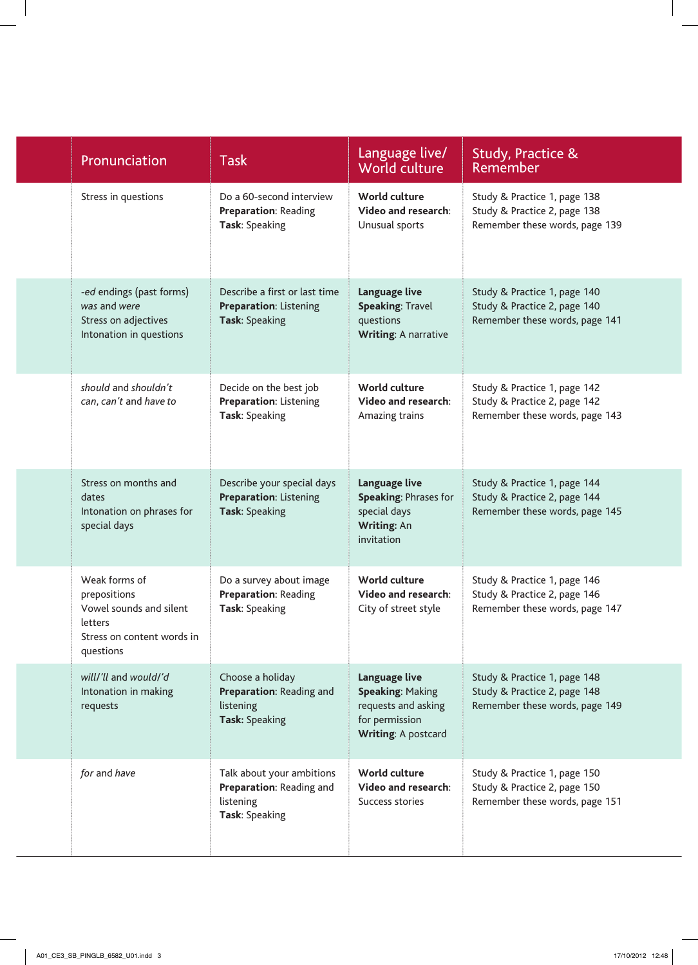| Pronunciation                                                                                                  | <b>Task</b>                                                                          | Language live/<br>World culture                                                                          | Study, Practice &<br><b>Remember</b>                                                           |
|----------------------------------------------------------------------------------------------------------------|--------------------------------------------------------------------------------------|----------------------------------------------------------------------------------------------------------|------------------------------------------------------------------------------------------------|
| Stress in questions                                                                                            | Do a 60-second interview<br><b>Preparation: Reading</b><br>Task: Speaking            | World culture<br>Video and research:<br>Unusual sports                                                   | Study & Practice 1, page 138<br>Study & Practice 2, page 138<br>Remember these words, page 139 |
| -ed endings (past forms)<br>was and were<br>Stress on adjectives<br>Intonation in questions                    | Describe a first or last time<br>Preparation: Listening<br>Task: Speaking            | Language live<br><b>Speaking: Travel</b><br>questions<br><b>Writing: A narrative</b>                     | Study & Practice 1, page 140<br>Study & Practice 2, page 140<br>Remember these words, page 141 |
| should and shouldn't<br>can, can't and have to                                                                 | Decide on the best job<br>Preparation: Listening<br>Task: Speaking                   | World culture<br>Video and research:<br>Amazing trains                                                   | Study & Practice 1, page 142<br>Study & Practice 2, page 142<br>Remember these words, page 143 |
| Stress on months and<br>dates<br>Intonation on phrases for<br>special days                                     | Describe your special days<br>Preparation: Listening<br>Task: Speaking               | Language live<br>Speaking: Phrases for<br>special days<br>Writing: An<br>invitation                      | Study & Practice 1, page 144<br>Study & Practice 2, page 144<br>Remember these words, page 145 |
| Weak forms of<br>prepositions<br>Vowel sounds and silent<br>letters<br>Stress on content words in<br>questions | Do a survey about image<br>Preparation: Reading<br>Task: Speaking                    | World culture<br>Video and research:<br>City of street style                                             | Study & Practice 1, page 146<br>Study & Practice 2, page 146<br>Remember these words, page 147 |
| will/'ll and would/'d<br>Intonation in making<br>requests                                                      | Choose a holiday<br>Preparation: Reading and<br>listening<br>Task: Speaking          | Language live<br><b>Speaking: Making</b><br>requests and asking<br>for permission<br>Writing: A postcard | Study & Practice 1, page 148<br>Study & Practice 2, page 148<br>Remember these words, page 149 |
| for and have                                                                                                   | Talk about your ambitions<br>Preparation: Reading and<br>listening<br>Task: Speaking | World culture<br>Video and research:<br>Success stories                                                  | Study & Practice 1, page 150<br>Study & Practice 2, page 150<br>Remember these words, page 151 |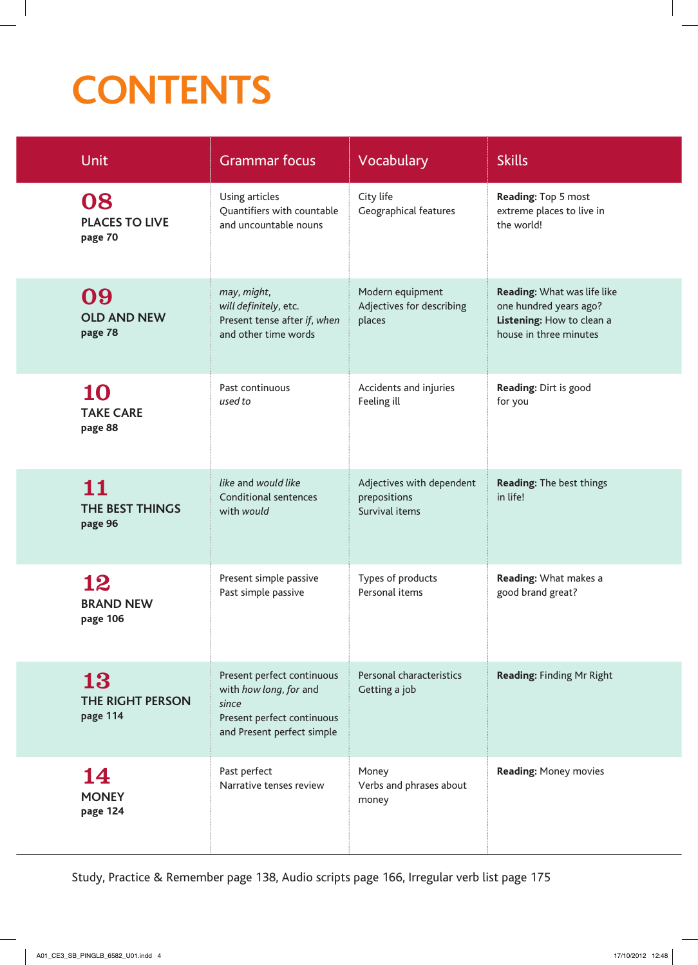## **CONTENTS**

| <b>Unit</b>                            | <b>Grammar focus</b>                                                                                                      | Vocabulary                                                  | <b>Skills</b>                                                                                                |
|----------------------------------------|---------------------------------------------------------------------------------------------------------------------------|-------------------------------------------------------------|--------------------------------------------------------------------------------------------------------------|
| 08<br><b>PLACES TO LIVE</b><br>page 70 | Using articles<br>Quantifiers with countable<br>and uncountable nouns                                                     | City life<br>Geographical features                          | Reading: Top 5 most<br>extreme places to live in<br>the world!                                               |
| 09<br><b>OLD AND NEW</b><br>page 78    | may, might,<br>will definitely, etc.<br>Present tense after if, when<br>and other time words                              | Modern equipment<br>Adjectives for describing<br>places     | Reading: What was life like<br>one hundred years ago?<br>Listening: How to clean a<br>house in three minutes |
| 10<br><b>TAKE CARE</b><br>page 88      | Past continuous<br>used to                                                                                                | Accidents and injuries<br>Feeling ill                       | Reading: Dirt is good<br>for you                                                                             |
| 11<br>THE BEST THINGS<br>page 96       | like and would like<br><b>Conditional sentences</b><br>with would                                                         | Adjectives with dependent<br>prepositions<br>Survival items | Reading: The best things<br>in life!                                                                         |
| 12<br><b>BRAND NEW</b><br>page 106     | Present simple passive<br>Past simple passive                                                                             | Types of products<br>Personal items                         | Reading: What makes a<br>good brand great?                                                                   |
| 13<br>THE RIGHT PERSON<br>page 114     | Present perfect continuous<br>with how long, for and<br>since<br>Present perfect continuous<br>and Present perfect simple | Personal characteristics<br>Getting a job                   | Reading: Finding Mr Right                                                                                    |
| 14<br><b>MONEY</b><br>page 124         | Past perfect<br>Narrative tenses review                                                                                   | Money<br>Verbs and phrases about<br>money                   | <b>Reading: Money movies</b>                                                                                 |